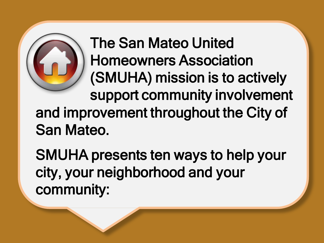

The San Mateo United Homeowners Association (SMUHA) mission is to actively support community involvement and improvement throughout the City of San Mateo.

SMUHA presents ten ways to help your city, your neighborhood and your community: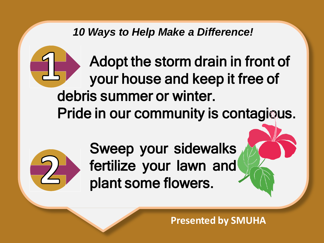Adopt the storm drain in front of your house and keep it free of debris summer or winter. Pride in our community is contagious.



Sweep your sidewalks fertilize your lawn and plant some flowers.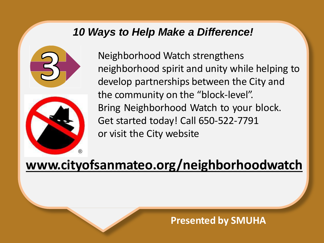



Neighborhood Watch strengthens neighborhood spirit and unity while helping to develop partnerships between the City and the community on the "block-level". Bring Neighborhood Watch to your block. Get started today! Call 650-522-7791 or visit the City website

## **[www.cityofsanmateo.org/neighborhoodwatch](http://www.cityofsanmateo.org/neighborhoodwatch)**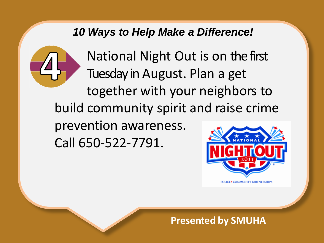

National Night Out is on the first Tuesday in August. Plan a get together with your neighbors to build community spirit and raise crime prevention awareness. Call 650-522-7791.

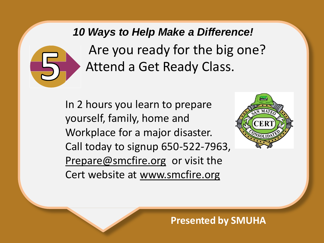*10 Ways to Help Make a Difference!* Are you ready for the big one? Attend a Get Ready Class.

In 2 hours you learn to prepare yourself, family, home and Workplace for a major disaster. Call today to signup 650-522-7963, [Prepare@smcfire.org](mailto:Prepare@smcfire.org) or visit the Cert website at [www.smcfire.org](http://www.smcfire.org/)

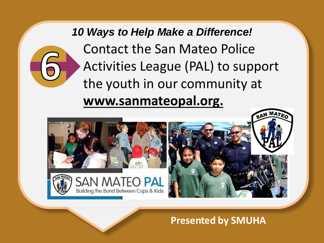*10 Ways to Help Make a Difference!* Contact the San Mateo Police Activities League (PAL) to support the youth in our community at **[www.sanmateopal.org.](http://www.sanmateopal.org/)**

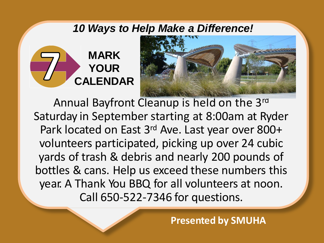



Annual Bayfront Cleanup is held on the 3rd Saturday in September starting at 8:00am at Ryder Park located on East 3<sup>rd</sup> Ave. Last year over 800+ volunteers participated, picking up over 24 cubic yards of trash & debris and nearly 200 pounds of bottles & cans. Help us exceed these numbers this year. A Thank You BBQ for all volunteers at noon. Call 650-522-7346 for questions.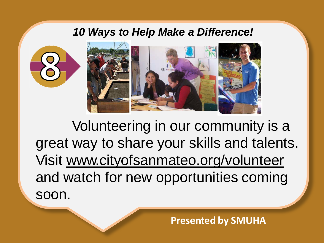

Volunteering in our community is a great way to share your skills and talents. Visit [www.cityofsanmateo.org/volunteer](http://www.cityofsanmateo.org/) and watch for new opportunities coming soon.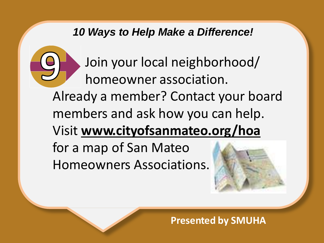

Join your local neighborhood/ homeowner association.

Already a member? Contact your board members and ask how you can help. Visit **[www.cityofsanmateo.org/hoa](http://www.cityofsanmateo.org/hoa)** for a map of San Mateo

Homeowners Associations.